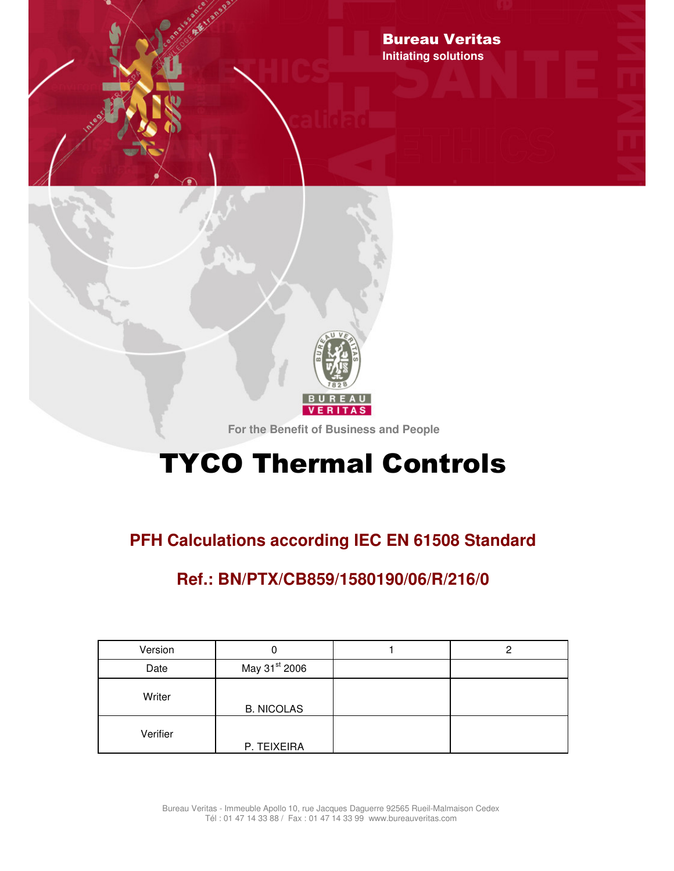



**For the Benefit of Business and People**

# **TYCO Thermal Controls**

## **PFH Calculations according IEC EN 61508 Standard**

## **Ref.: BN/PTX/CB859/1580190/06/R/216/0**

| Version  |                           | כי |
|----------|---------------------------|----|
| Date     | May 31 <sup>st</sup> 2006 |    |
| Writer   | <b>B. NICOLAS</b>         |    |
| Verifier | P. TEIXEIRA               |    |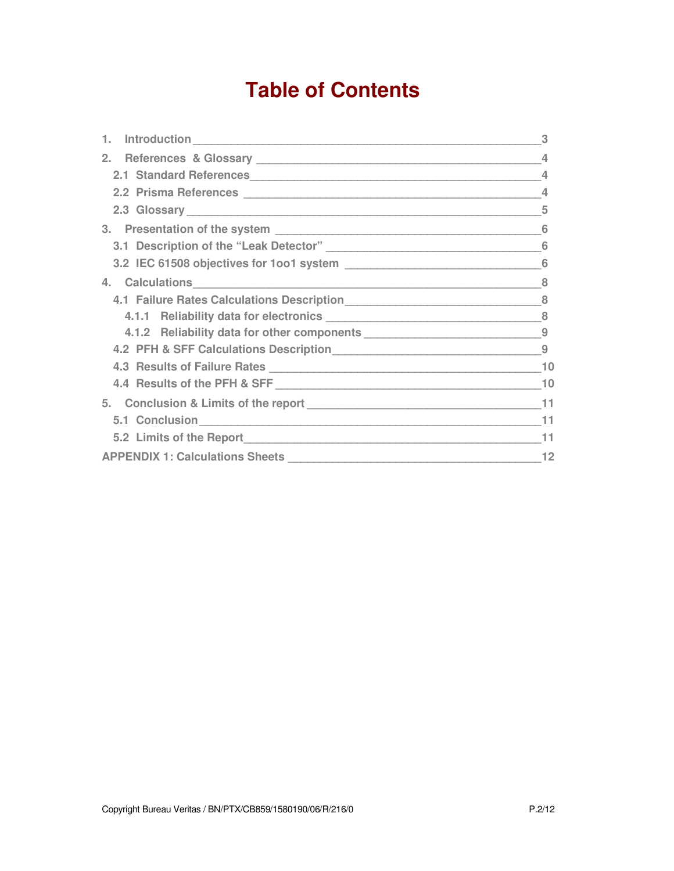## **Table of Contents**

|                                                                                  | 3  |
|----------------------------------------------------------------------------------|----|
|                                                                                  | 4  |
| 2.1 Standard References                                                          | 4  |
|                                                                                  |    |
|                                                                                  | 5  |
|                                                                                  | 6  |
|                                                                                  | 6  |
|                                                                                  |    |
|                                                                                  |    |
|                                                                                  |    |
|                                                                                  |    |
| 4.1.2 Reliability data for other components ___________________________________9 |    |
|                                                                                  |    |
|                                                                                  | 10 |
|                                                                                  | 10 |
|                                                                                  |    |
|                                                                                  | 11 |
|                                                                                  | 11 |
|                                                                                  | 12 |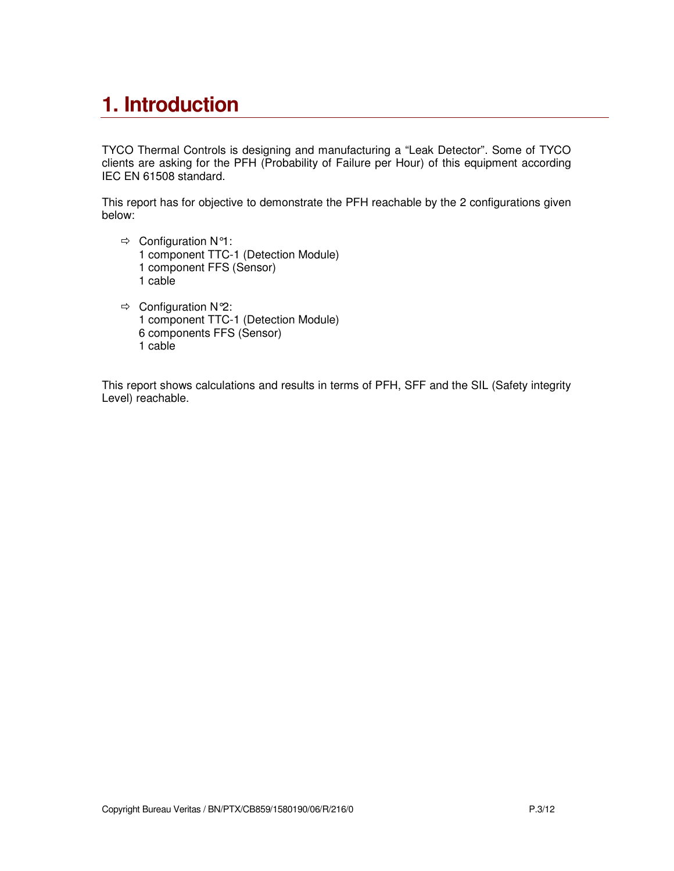## **1. Introduction**

TYCO Thermal Controls is designing and manufacturing a "Leak Detector". Some of TYCO clients are asking for the PFH (Probability of Failure per Hour) of this equipment according IEC EN 61508 standard.

This report has for objective to demonstrate the PFH reachable by the 2 configurations given below:

- $\Rightarrow$  Configuration N°1: 1 component TTC-1 (Detection Module) 1 component FFS (Sensor) 1 cable
- $\Rightarrow$  Configuration N°2: 1 component TTC-1 (Detection Module) 6 components FFS (Sensor) 1 cable

This report shows calculations and results in terms of PFH, SFF and the SIL (Safety integrity Level) reachable.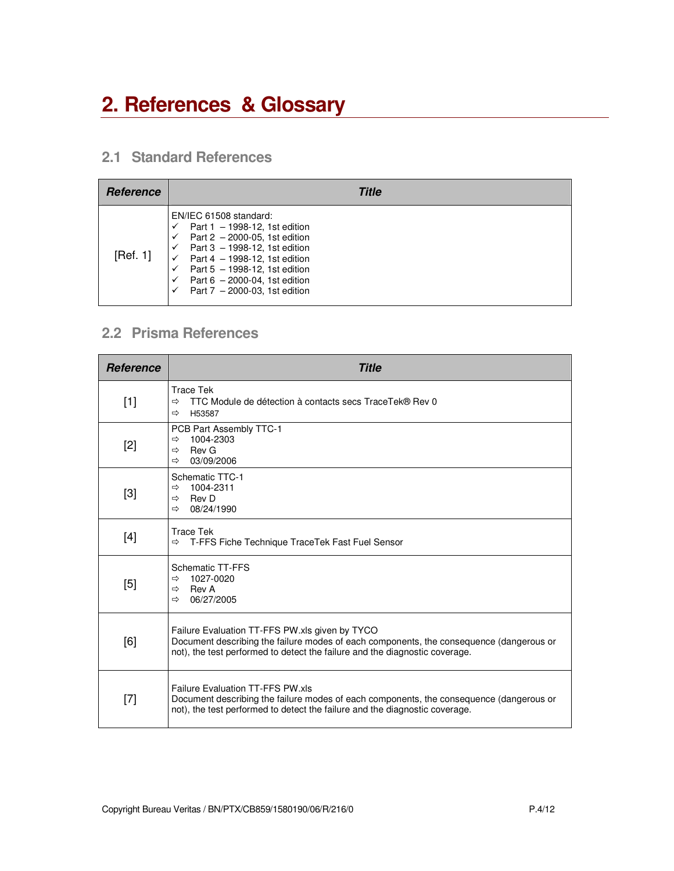## **2. References & Glossary**

## **2.1 Standard References**

| Reference | Title                                                                                                                                                                                                                                                                                                    |
|-----------|----------------------------------------------------------------------------------------------------------------------------------------------------------------------------------------------------------------------------------------------------------------------------------------------------------|
| [Ref. 1]  | EN/IEC 61508 standard:<br>Part $1 - 1998-12$ , 1st edition<br>Part $2 - 2000 - 05$ , 1st edition<br>$\checkmark$<br>Part $3 - 1998 - 12$ , 1st edition<br>Part 4 - 1998-12, 1st edition<br>Part $5 - 1998-12$ , 1st edition<br>Part $6 - 2000-04$ , 1st edition<br>✓<br>Part $7 - 2000-03$ , 1st edition |

## **2.2 Prisma References**

| <b>Reference</b> | <b>Title</b>                                                                                                                                                                                                             |
|------------------|--------------------------------------------------------------------------------------------------------------------------------------------------------------------------------------------------------------------------|
| $[1]$            | <b>Trace Tek</b><br>TTC Module de détection à contacts secs TraceTek® Rev 0<br>$\Rightarrow$<br>H53587<br>⇨                                                                                                              |
| $[2]$            | PCB Part Assembly TTC-1<br>1004-2303<br>$\Rightarrow$<br>Rev G<br>⇨<br>03/09/2006<br>⇨                                                                                                                                   |
| [3]              | Schematic TTC-1<br>1004-2311<br>⇨<br>Rev D<br>⇨<br>08/24/1990<br>$\Rightarrow$                                                                                                                                           |
| [4]              | <b>Trace Tek</b><br>T-FFS Fiche Technique TraceTek Fast Fuel Sensor<br>⇨                                                                                                                                                 |
| [5]              | Schematic TT-FFS<br>1027-0020<br>$\Rightarrow$<br>Rev A<br>⇨<br>06/27/2005<br>$\Rightarrow$                                                                                                                              |
| [6]              | Failure Evaluation TT-FFS PW.xls given by TYCO<br>Document describing the failure modes of each components, the consequence (dangerous or<br>not), the test performed to detect the failure and the diagnostic coverage. |
| $[7]$            | Failure Evaluation TT-FFS PW.xls<br>Document describing the failure modes of each components, the consequence (dangerous or<br>not), the test performed to detect the failure and the diagnostic coverage.               |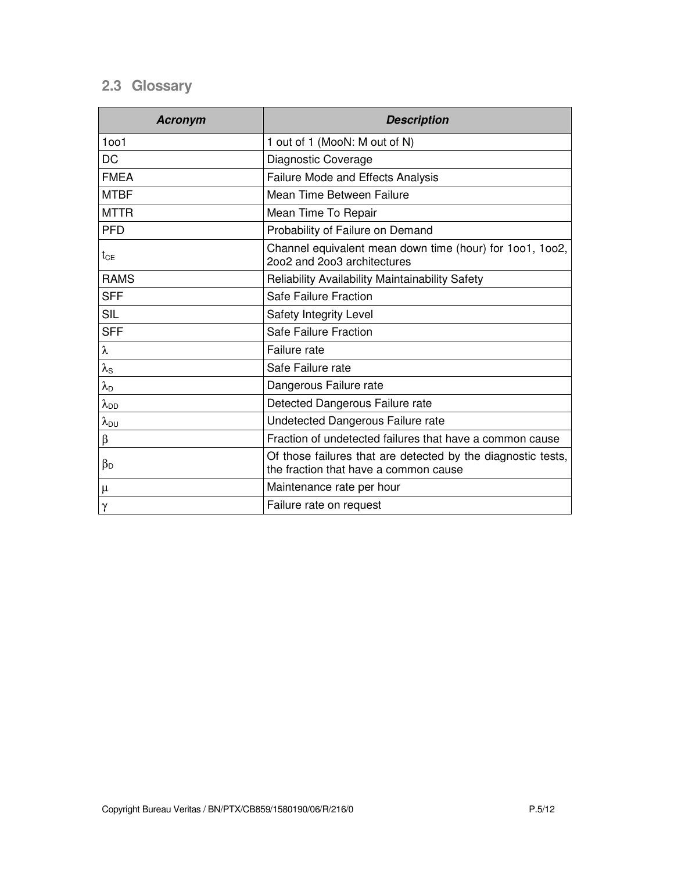## **2.3 Glossary**

| <b>Acronym</b>         | <b>Description</b>                                                                                    |  |
|------------------------|-------------------------------------------------------------------------------------------------------|--|
| 1001                   | 1 out of 1 (MooN: M out of N)                                                                         |  |
| <b>DC</b>              | Diagnostic Coverage                                                                                   |  |
| <b>FMEA</b>            | Failure Mode and Effects Analysis                                                                     |  |
| <b>MTBF</b>            | Mean Time Between Failure                                                                             |  |
| <b>MTTR</b>            | Mean Time To Repair                                                                                   |  |
| <b>PFD</b>             | Probability of Failure on Demand                                                                      |  |
| $t_{CE}$               | Channel equivalent mean down time (hour) for 1001, 1002,<br>2002 and 2003 architectures               |  |
| <b>RAMS</b>            | Reliability Availability Maintainability Safety                                                       |  |
| <b>SFF</b>             | Safe Failure Fraction                                                                                 |  |
| <b>SIL</b>             | Safety Integrity Level                                                                                |  |
| <b>SFF</b>             | Safe Failure Fraction                                                                                 |  |
| λ                      | Failure rate                                                                                          |  |
| $\lambda_{\text{S}}$   | Safe Failure rate                                                                                     |  |
| $\lambda_{\mathsf{D}}$ | Dangerous Failure rate                                                                                |  |
| $\lambda_{DD}$         | Detected Dangerous Failure rate                                                                       |  |
| $\lambda_{DU}$         | Undetected Dangerous Failure rate                                                                     |  |
| β                      | Fraction of undetected failures that have a common cause                                              |  |
| $\beta_{D}$            | Of those failures that are detected by the diagnostic tests,<br>the fraction that have a common cause |  |
| μ                      | Maintenance rate per hour                                                                             |  |
| $\gamma$               | Failure rate on request                                                                               |  |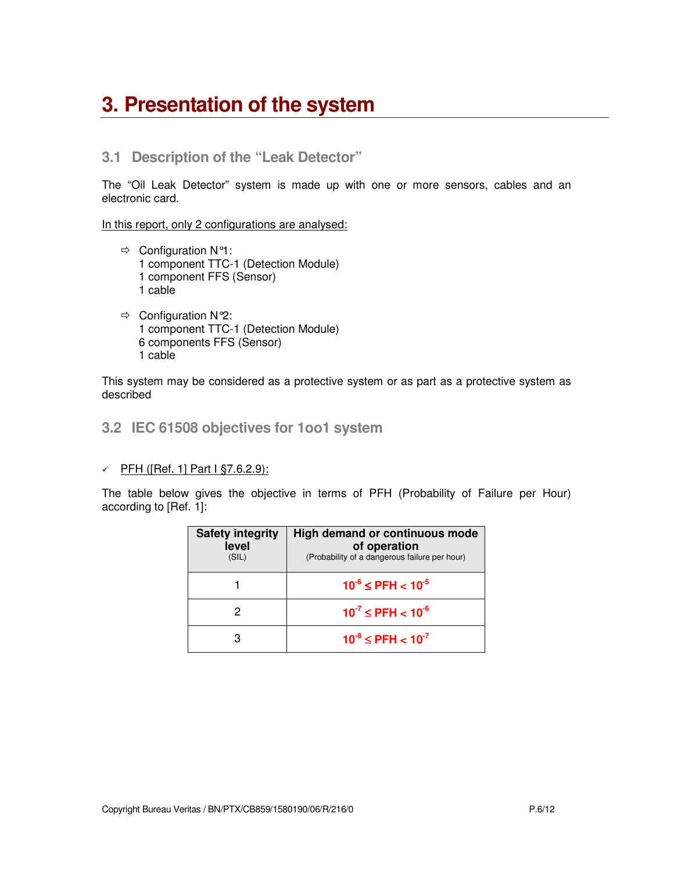## **3. Presentation of the system**

### **3.1 Description of the "Leak Detector"**

The "Oil Leak Detector" system is made up with one or more sensors, cables and an electronic card.

In this report, only 2 configurations are analysed:

- $\Rightarrow$  Configuration N°1: 1 component TTC-1 (Detection Module) 1 component FFS (Sensor) 1 cable
- $\Rightarrow$  Configuration N°2: 1 component TTC-1 (Detection Module) 6 components FFS (Sensor) 1 cable

This system may be considered as a protective system or as part as a protective system as described

### **3.2 IEC 61508 objectives for 1oo1 system**

#### - PFH ([Ref. 1] Part I §7.6.2.9):

The table below gives the objective in terms of PFH (Probability of Failure per Hour) according to [Ref. 1]:

| <b>Safety integrity</b><br>level<br>(SIL) | High demand or continuous mode<br>of operation<br>(Probability of a dangerous failure per hour) |  |
|-------------------------------------------|-------------------------------------------------------------------------------------------------|--|
|                                           | $10^{-6} \leq PFH < 10^{-5}$                                                                    |  |
|                                           | $10^{-7} \leq PFH < 10^{-6}$                                                                    |  |
|                                           | $10^{-8} \leq PFH < 10^{-7}$                                                                    |  |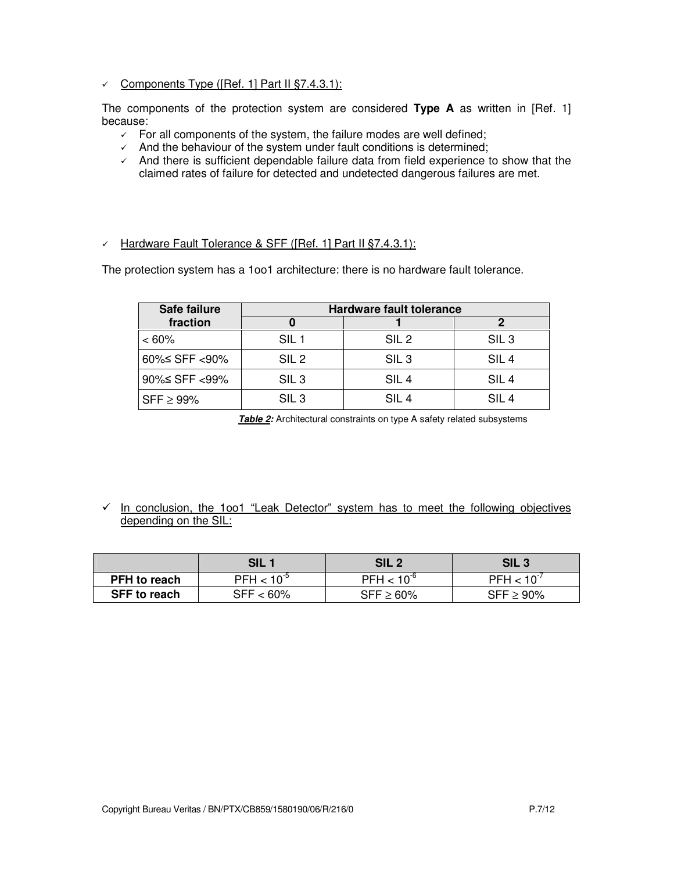#### - Components Type ([Ref. 1] Part II §7.4.3.1):

The components of the protection system are considered **Type A** as written in [Ref. 1] because:

- $\checkmark$  For all components of the system, the failure modes are well defined;
- $\checkmark$  And the behaviour of the system under fault conditions is determined;
- $\checkmark$  And there is sufficient dependable failure data from field experience to show that the claimed rates of failure for detected and undetected dangerous failures are met.

### - Hardware Fault Tolerance & SFF ([Ref. 1] Part II §7.4.3.1):

The protection system has a 1oo1 architecture: there is no hardware fault tolerance.

| Safe failure    | <b>Hardware fault tolerance</b> |                  |                  |  |
|-----------------|---------------------------------|------------------|------------------|--|
| fraction        |                                 |                  | 2                |  |
| $<60\%$         | SIL <sub>1</sub>                | SIL <sub>2</sub> | SIL <sub>3</sub> |  |
| 60%≤ SFF <90%   | SIL <sub>2</sub>                | SIL <sub>3</sub> | SIL <sub>4</sub> |  |
| 90%≤ SFF <99%   | SIL <sub>3</sub>                | SIL <sub>4</sub> | SIL <sub>4</sub> |  |
| $SFF \geq 99\%$ | SIL <sub>3</sub>                | SIL <sub>4</sub> | SIL <sub>4</sub> |  |

**Table 2:** Architectural constraints on type A safety related subsystems

← In conclusion, the 1oo1 "Leak Detector" system has to meet the following objectives depending on the SIL:

|                     | SIL \           | SIL 2           | <b>SIL3</b>     |
|---------------------|-----------------|-----------------|-----------------|
| <b>PFH</b> to reach | $PFH < 10^{-5}$ | $PFH < 10^{-6}$ | $PFH < 10^{-7}$ |
| <b>SFF to reach</b> | $SFF < 60\%$    | $SFF \geq 60\%$ | $SFF \geq 90\%$ |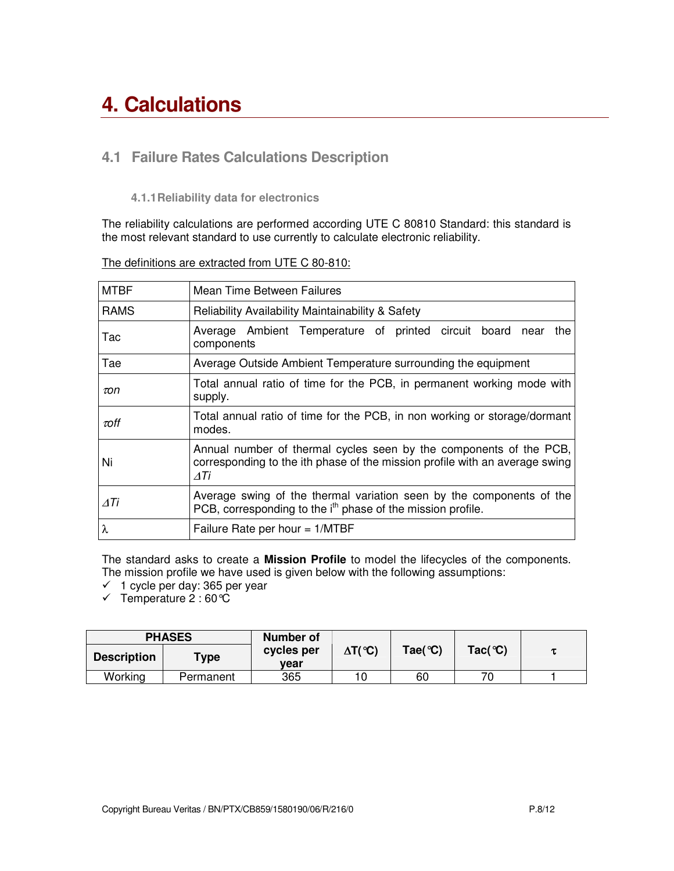## **4. Calculations**

## **4.1 Failure Rates Calculations Description**

**4.1.1Reliability data for electronics**

The reliability calculations are performed according UTE C 80810 Standard: this standard is the most relevant standard to use currently to calculate electronic reliability.

| <b>MTBF</b> | Mean Time Between Failures                                                                                                                               |  |  |  |
|-------------|----------------------------------------------------------------------------------------------------------------------------------------------------------|--|--|--|
| <b>RAMS</b> | <b>Reliability Availability Maintainability &amp; Safety</b>                                                                                             |  |  |  |
| Tac         | Average Ambient Temperature of printed circuit board near<br>the<br>components                                                                           |  |  |  |
| Tae         | Average Outside Ambient Temperature surrounding the equipment                                                                                            |  |  |  |
| $\tau$ on   | Total annual ratio of time for the PCB, in permanent working mode with<br>supply.                                                                        |  |  |  |
| $\tau$ off  | Total annual ratio of time for the PCB, in non working or storage/dormant<br>modes.                                                                      |  |  |  |
| Ni          | Annual number of thermal cycles seen by the components of the PCB,<br>corresponding to the ith phase of the mission profile with an average swing<br>ΔTi |  |  |  |
| ΔTi         | Average swing of the thermal variation seen by the components of the<br>PCB, corresponding to the i <sup>th</sup> phase of the mission profile.          |  |  |  |
| λ           | Failure Rate per hour $= 1/MTBF$                                                                                                                         |  |  |  |

The definitions are extracted from UTE C 80-810:

The standard asks to create a **Mission Profile** to model the lifecycles of the components. The mission profile we have used is given below with the following assumptions:

 $\checkmark$  1 cycle per day: 365 per year

 $\checkmark$  Temperature 2:60  $\hat{C}$ 

| <b>PHASES</b>      |                       | Number of          |                                |                                  |                    |  |
|--------------------|-----------------------|--------------------|--------------------------------|----------------------------------|--------------------|--|
| <b>Description</b> | $\tau_{\texttt{ype}}$ | cycles per<br>vear | $\Delta T({}^\circ\mathbb{C})$ | $\text{Tae}({}^{\circ}\text{C})$ | Tac( $^{\circ}$ C) |  |
| Working            | Permanent             | 365                |                                | 60                               | 70                 |  |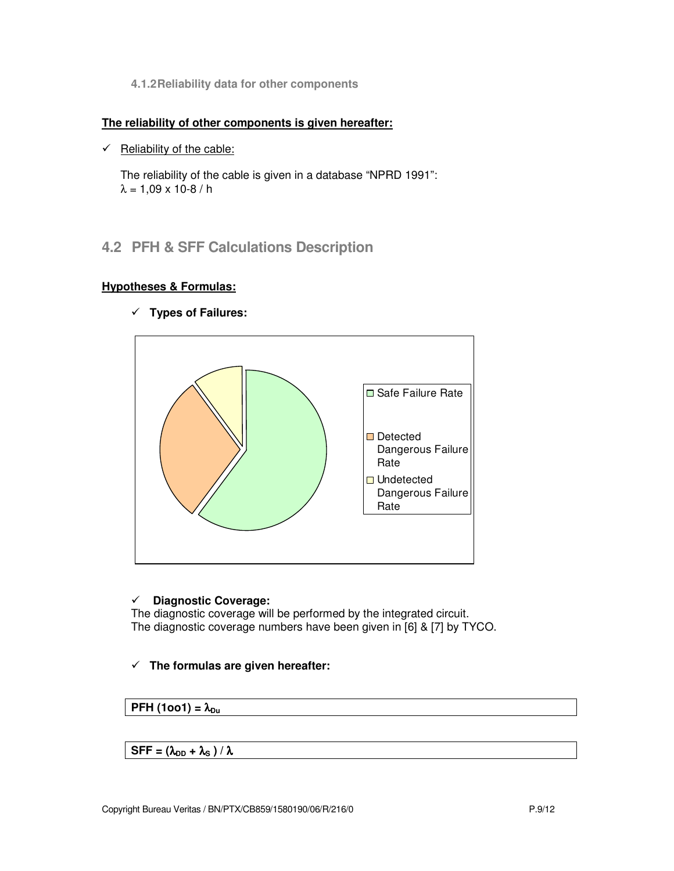**4.1.2Reliability data for other components**

#### **The reliability of other components is given hereafter:**

 $\checkmark$  Reliability of the cable:

The reliability of the cable is given in a database "NPRD 1991":  $λ = 1,09 × 10-8/h$ 

## **4.2 PFH & SFF Calculations Description**

### **Hypotheses & Formulas:**

- **Types of Failures:**



#### $\checkmark$ **Diagnostic Coverage:**

The diagnostic coverage will be performed by the integrated circuit. The diagnostic coverage numbers have been given in [6] & [7] by TYCO.

### - **The formulas are given hereafter:**

### **PFH**  $(1001) = \lambda_{Du}$

### $SFF = (\lambda_{DD} + \lambda_S) / \lambda$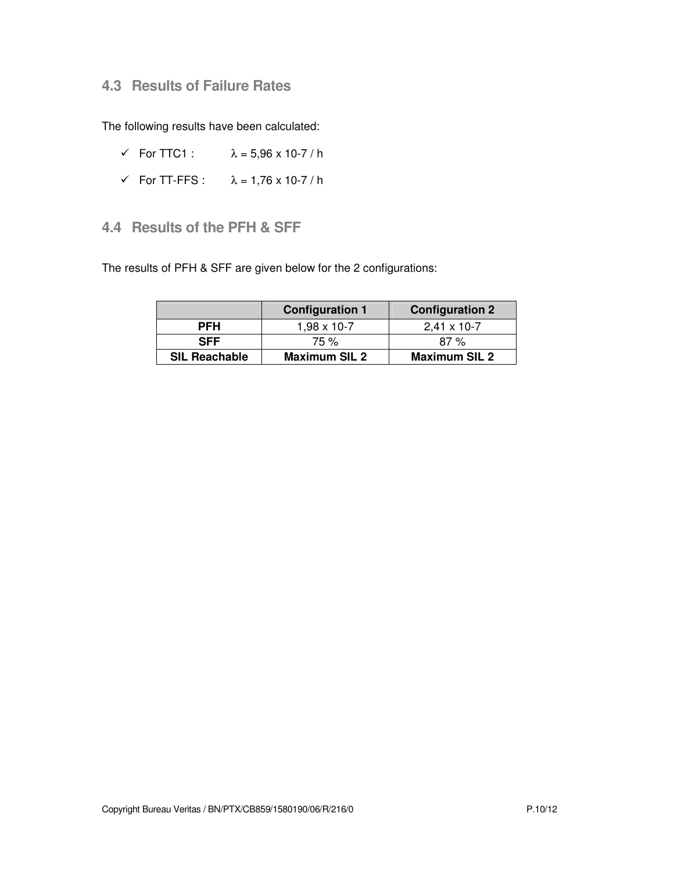## **4.3 Results of Failure Rates**

The following results have been calculated:

- $\checkmark$  For TTC1 :  $\lambda = 5.96 \times 10-7 / h$
- $\checkmark$  For TT-FFS :  $\lambda = 1,76 \times 10-7$  / h

## **4.4 Results of the PFH & SFF**

The results of PFH & SFF are given below for the 2 configurations:

|                      | <b>Configuration 1</b> | <b>Configuration 2</b> |
|----------------------|------------------------|------------------------|
| <b>PFH</b>           | 1,98 x 10-7            | $2,41 \times 10-7$     |
| <b>SFF</b>           | 75 %                   | 87%                    |
| <b>SIL Reachable</b> | <b>Maximum SIL 2</b>   | <b>Maximum SIL 2</b>   |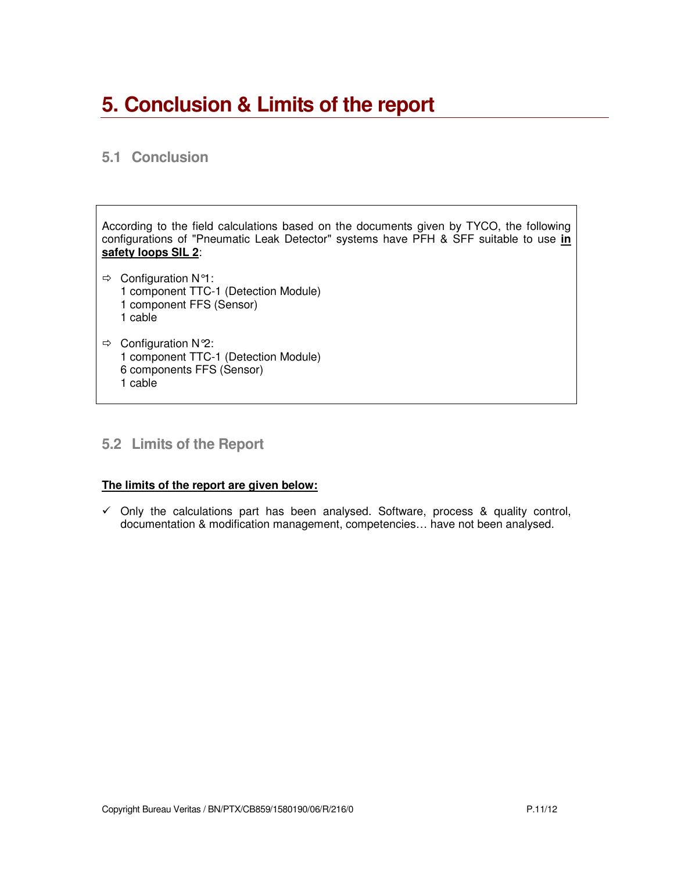## **5. Conclusion & Limits of the report**

## **5.1 Conclusion**

According to the field calculations based on the documents given by TYCO, the following configurations of "Pneumatic Leak Detector" systems have PFH & SFF suitable to use **in safety loops SIL 2**:

- $\Rightarrow$  Configuration N°1: 1 component TTC-1 (Detection Module) 1 component FFS (Sensor) 1 cable
- $\Rightarrow$  Configuration N°2: 1 component TTC-1 (Detection Module) 6 components FFS (Sensor) 1 cable

## **5.2 Limits of the Report**

#### **The limits of the report are given below:**

 $\checkmark$  Only the calculations part has been analysed. Software, process & quality control, documentation & modification management, competencies… have not been analysed.